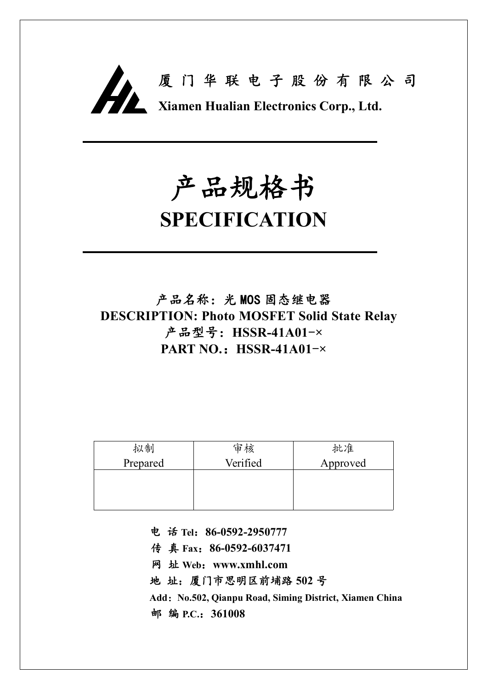

# **产品规格书**

## **SPECIFICATION**

**产品名称:光 MOS 固态继电器 DESCRIPTION: Photo MOSFET Solid State Relay 产品型号:HSSR-41A01-× PART NO.:HSSR-41A01-×**

| 拟制       | 审核       | 批准       |
|----------|----------|----------|
| Prepared | Verified | Approved |
|          |          |          |
|          |          |          |
|          |          |          |

**电 话 Tel:86-0592-2950777**

**传 真 Fax:86-0592-6037471**

**网 址 Web:www.xmhl.com**

**地 址:厦门市思明区前埔路 502 号**

**Add:No.502, Qianpu Road, Siming District, Xiamen China 邮 编 P.C.:361008**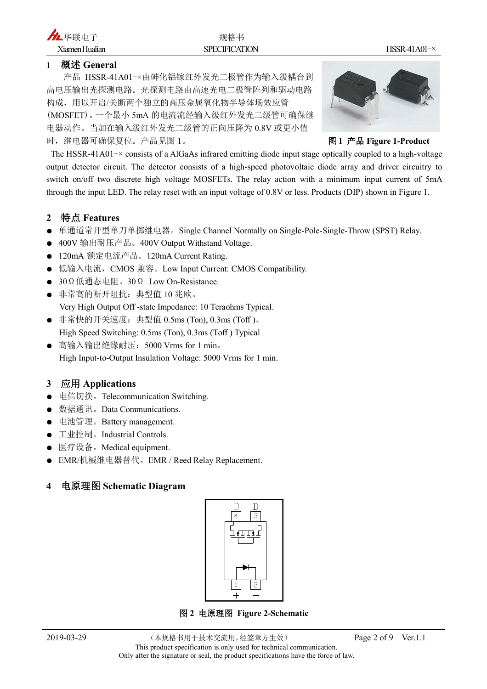#### **1 概述 General**

产品 HSSR-41A01-×由砷化铝镓红外发光二极管作为输入级耦合到 高电压输出光探测电路。光探测电路由高速光电二极管阵列和驱动电路 构成,用以开启/关断两个独立的高压金属氧化物半导体场效应管 (MOSFET)。一个最小 5mA 的电流流经输入级红外发光二级管可确保继 电器动作。当加在输入级红外发光二级管的正向压降为 0.8V 或更小值 时,继电器可确保复位。产品见图 1。 **图 1 产品 Figure 1-Product**



The HSSR-41A01 $\rightarrow$  consists of a AlGaAs infrared emitting diode input stage optically coupled to a high-voltage output detector circuit. The detector consists of a high-speed photovoltaic diode array and driver circuitry to switch on/off two discrete high voltage MOSFETs. The relay action with a minimum input current of 5mA through the input LED. The relay reset with an input voltage of 0.8V or less. Products (DIP) shown in Figure 1.

#### **2 特点 Features**

- 单通道常开型单刀单掷继电器。Single Channel Normally on Single-Pole-Single-Throw (SPST) Relay.
- 400V 输出耐压产品。400V Output Withstand Voltage.
- 120mA 额定电流产品。120mA Current Rating.
- 低输入电流, CMOS 兼容。Low Input Current: CMOS Compatibility.
- 30Ω低通态电阻。30Ω Low On-Resistance.
- 非常高的断开阻抗:典型值 10 兆欧。 Very High Output Off -state Impedance: 10 Teraohms Typical.
- 非常快的开关速度:典型值 0.5ms (Ton), 0.3ms (Toff )。 High Speed Switching: 0.5ms (Ton), 0.3ms (Toff ) Typical
- 高输入输出绝缘耐压: 5000 Vrms for 1 min。 High Input-to-Output Insulation Voltage: 5000 Vrms for 1 min.

#### **3 应用 Applications**

- 电信切换。Telecommunication Switching.
- 数据通讯。Data Communications.
- 电池管理。Battery management.
- 工业控制。Industrial Controls.
- 医疗设备。Medical equipment.
- **EMR/机械继电器替代。EMR / Reed Relay Replacement.**

#### **4 电原理图 Schematic Diagram**



**图 2 电原理图 Figure 2-Schematic**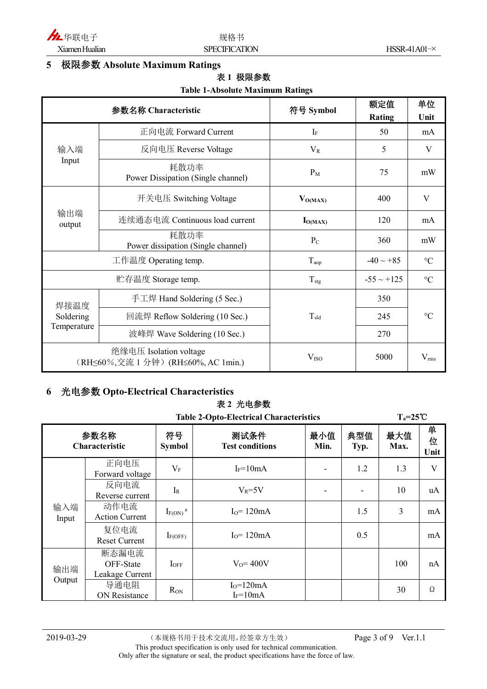

#### **5 极限参数 Absolute Maximum Ratings**

#### **表 1 极限参数**

#### **Table 1-Absolute Maximum Ratings**

|                                                               | 参数名称 Characteristic                        | 符号 Symbol        | 额定值<br><b>Rating</b> | 单位<br>Unit      |  |
|---------------------------------------------------------------|--------------------------------------------|------------------|----------------------|-----------------|--|
|                                                               | 正向电流 Forward Current                       | $I_F$            | 50                   | mA              |  |
| 输入端                                                           | 反向电压 Reverse Voltage                       | $V_R$            | 5                    | V               |  |
| Input                                                         | 耗散功率<br>Power Dissipation (Single channel) | $P_M$            | 75                   | mW              |  |
| 输出端<br>output                                                 | 开关电压 Switching Voltage                     | $V_{O(MAX)}$     | 400                  | V               |  |
|                                                               | 连续通态电流 Continuous load current             | $I_{O(MAX)}$     | 120                  | mA              |  |
|                                                               | 耗散功率<br>Power dissipation (Single channel) | $P_{C}$          | 360                  | mW              |  |
|                                                               | 工作温度 Operating temp.                       | $T_{aop}$        | $-40 \sim +85$       | $\rm ^{\circ}C$ |  |
|                                                               | 贮存温度 Storage temp.                         | $T_{\rm stg}$    | $-55 \sim +125$      | $\rm ^{\circ}C$ |  |
| 焊接温度<br>Soldering<br>Temperature                              | 手工焊 Hand Soldering (5 Sec.)                |                  | 350                  |                 |  |
|                                                               | 回流焊 Reflow Soldering (10 Sec.)             | $T_{\rm sld}$    | 245                  | $\rm ^{\circ}C$ |  |
|                                                               | 波峰焊 Wave Soldering (10 Sec.)               |                  | 270                  |                 |  |
| 绝缘电压 Isolation voltage<br>(RH≤60%,交流 1 分钟) (RH≤60%, AC 1min.) |                                            | V <sub>ISO</sub> | 5000                 | $V_{rms}$       |  |

#### **6 光电参数 Opto-Electrical Characteristics**

### **表 2 光电参数**

|              |                                                |                          | ベ 4 儿 も 多 双                    |             |             |                     |                |
|--------------|------------------------------------------------|--------------------------|--------------------------------|-------------|-------------|---------------------|----------------|
|              | <b>Table 2-Opto-Electrical Characteristics</b> |                          |                                |             |             | $T_a = 25^{\circ}C$ |                |
|              | 参数名称<br><b>Characteristic</b>                  | 符号<br><b>Symbol</b>      | 测试条件<br><b>Test conditions</b> | 最小值<br>Min. | 典型值<br>Typ. | 最大值<br>Max.         | 单<br>位<br>Unit |
|              | 正向电压<br>Forward voltage                        | $V_{\mathrm{F}}$         | $I_F = 10mA$                   |             | 1.2         | 1.3                 | V              |
| 输入端<br>Input | 反向电流<br>Reverse current                        | $I_R$                    | $V_R = 5V$                     |             |             | 10                  | uA             |
|              | 动作电流<br><b>Action Current</b>                  | $I_{F(ON)}$ <sup>a</sup> | $I0=120mA$                     |             | 1.5         | 3                   | mA             |
|              | 复位电流<br><b>Reset Current</b>                   | $I_{F(OFF)}$             | $I0=120mA$                     |             | 0.5         |                     | mA             |
| 输出端          | 断态漏电流<br>OFF-State<br>Leakage Current          | $I_{OFF}$                | $V_0 = 400V$                   |             |             | 100                 | nA             |
| Output       | 导通电阻<br>ON Resistance                          | $R_{ON}$                 | $I_0 = 120mA$<br>$I_F = 10mA$  |             |             | 30                  | Ω              |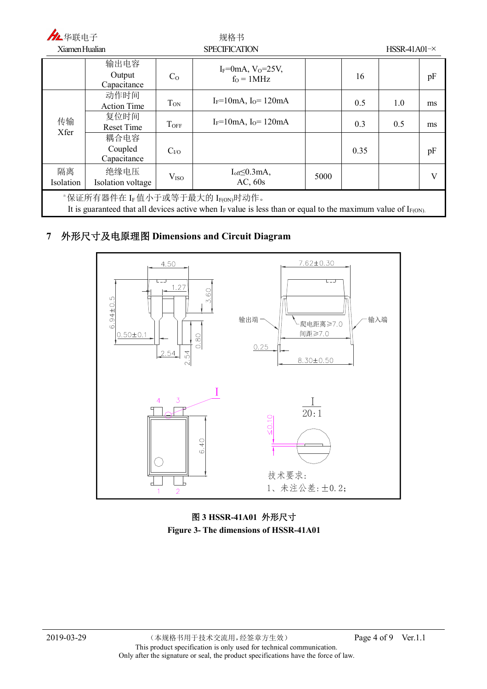| 九华联电子                                                                                                                                                     |                                |                      | 规格书                                                 |      |                |     |    |
|-----------------------------------------------------------------------------------------------------------------------------------------------------------|--------------------------------|----------------------|-----------------------------------------------------|------|----------------|-----|----|
| Xiamen Hualian                                                                                                                                            |                                | <b>SPECIFICATION</b> |                                                     |      | $HSSR-41A01-x$ |     |    |
|                                                                                                                                                           | 输出电容<br>Output<br>Capacitance  | C <sub>0</sub>       | $I_F = 0$ mA, V <sub>0</sub> =25V,<br>$f_0 = 1 MHz$ |      | 16             |     | pF |
|                                                                                                                                                           | 动作时间<br><b>Action Time</b>     | $T_{ON}$             | $I_F = 10mA$ , $I_O = 120mA$                        |      | 0.5            | 1.0 | ms |
| 传输<br>Xfer                                                                                                                                                | 复位时间<br><b>Reset Time</b>      | $T_{OFF}$            | $I_F = 10mA$ , $I_O = 120mA$                        |      | 0.3            | 0.5 | ms |
|                                                                                                                                                           | 耦合电容<br>Coupled<br>Capacitance | $C_{VQ}$             |                                                     |      | 0.35           |     | pF |
| 隔离<br>Isolation                                                                                                                                           | 绝缘电压<br>Isolation voltage      | V <sub>ISO</sub>     | $I_{off} \leq 0.3$ mA,<br>AC, 60s                   | 5000 |                |     | V  |
| "保证所有器件在 IF 值小于或等于最大的 IF(ON)时动作。<br>It is guaranteed that all devices active when $I_F$ value is less than or equal to the maximum value of $I_{F(ON)}$ . |                                |                      |                                                     |      |                |     |    |

#### **7 外形尺寸及电原理图 Dimensions and Circuit Diagram**



#### **图 3 HSSR-41A01 外形尺寸 Figure 3- The dimensions of HSSR-41A01**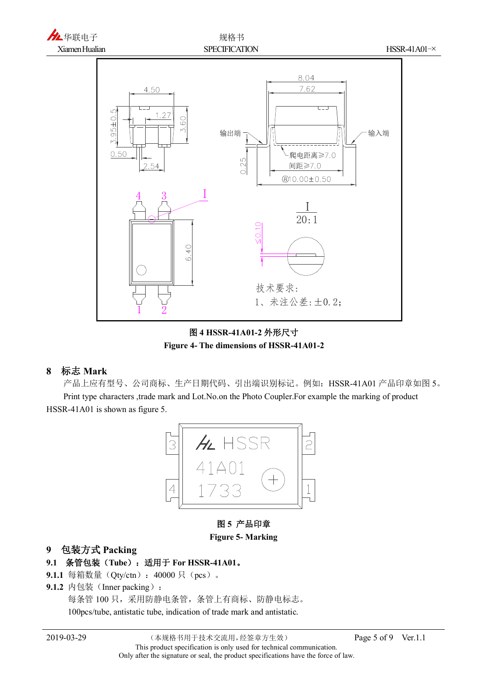

**图 4 HSSR-41A01-2 外形尺寸 Figure 4- The dimensions of HSSR-41A01-2**

#### **8 标志 Mark**

产品上应有型号、公司商标、生产日期代码、引出端识别标记。例如:HSSR-41A01 产品印章如图 5。 Print type characters ,trade mark and Lot.No.on the Photo Coupler.For example the marking of product HSSR-41A01 is shown as figure 5.



**图 5 产品印章**

#### **Figure 5- Marking**

#### **9 包装方式 Packing**

- **9.1 条管包装(Tube):适用于 For HSSR-41A01。**
- 9.1.1 每箱数量(Qty/ctn): 40000 只(pcs)。
- 9.1.2 内包装(Inner packing):

每条管 100 只,采用防静电条管,条管上有商标、防静电标志。

100pcs/tube, antistatic tube, indication of trade mark and antistatic.

2019-03-29 (本规格书用于技术交流用,经签章方生效) Page 5 of 9 Ver.1.1 This product specification is only used for technical communication. Only after the signature or seal, the product specifications have the force of law.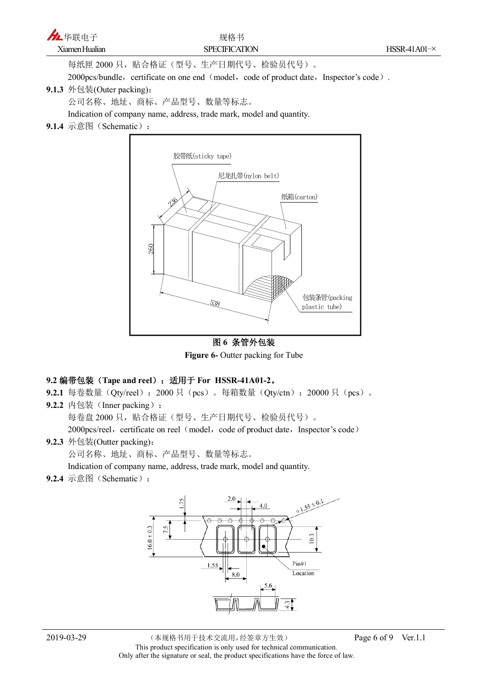每纸匣 2000 只,贴合格证(型号、生产日期代号、检验员代号)。

2000pcs/bundle, certificate on one end (model, code of product date, Inspector's code).

#### **9.1.3** 外包装(Outer packing):

公司名称、地址、商标、产品型号、数量等标志。

Indication of company name, address, trade mark, model and quantity.

**9.1.4** 示意图 (Schematic):



**图 6 条管外包装 Figure 6-** Outter packing for Tube

#### **9.2 编带包装(Tape and reel):适用于 For HSSR-41A01-2。**

9.2.1 每卷数量(Qty/reel): 2000 只(pcs)。每箱数量(Qty/ctn): 20000 只(pcs)。 **9.2.2** 内包装 (Inner packing):

每卷盘 2000 只,贴合格证(型号、生产日期代号、检验员代号)。

2000pcs/reel, certificate on reel (model, code of product date, Inspector's code)

#### **9.2.3** 外包装(Outter packing):

公司名称、地址、商标、产品型号、数量等标志。

Indication of company name, address, trade mark, model and quantity.

9.2.4 示意图 (Schematic):

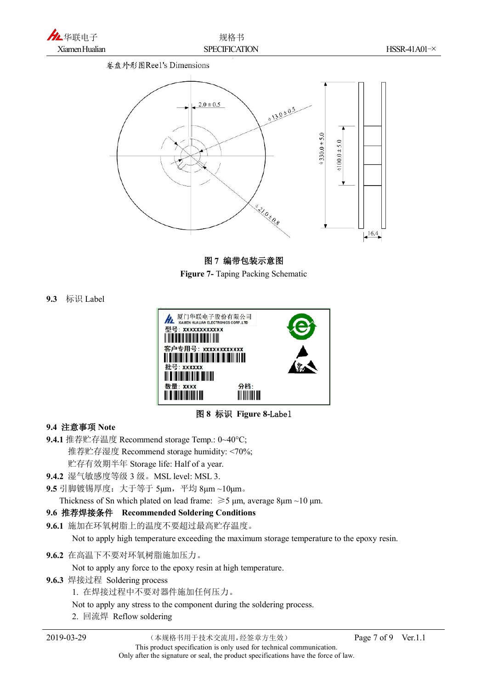



#### **图 7 编带包装示意图**

**Figure 7-** Taping Packing Schematic

**9.3** 标识 Label



**图 8 标识 Figure 8-Label**

#### **9.4 注意事项 Note**

**9.4.1** 推荐贮存温度 Recommend storage Temp.: 0~40°C; 推荐贮存湿度 Recommend storage humidity: <70%; 贮存有效期半年 Storage life: Half of a year.

**9.4.2** 湿气敏感度等级 3 级。MSL level: MSL 3.

**9.5** 引脚镀锡厚度:大于等于 5μm,平均 8μm ~10μm。

Thickness of Sn which plated on lead frame:  $\geq 5$  μm, average 8μm ~10 μm.

#### **9.6 推荐焊接条件 Recommended Soldering Conditions**

**9.6.1** 施加在环氧树脂上的温度不要超过最高贮存温度。

Not to apply high temperature exceeding the maximum storage temperature to the epoxy resin.

**9.6.2** 在高温下不要对环氧树脂施加压力。

Not to apply any force to the epoxy resin at high temperature.

**9.6.3** 焊接过程 Soldering process

1. 在焊接过程中不要对器件施加任何压力。

Not to apply any stress to the component during the soldering process.

2. 回流焊 Reflow soldering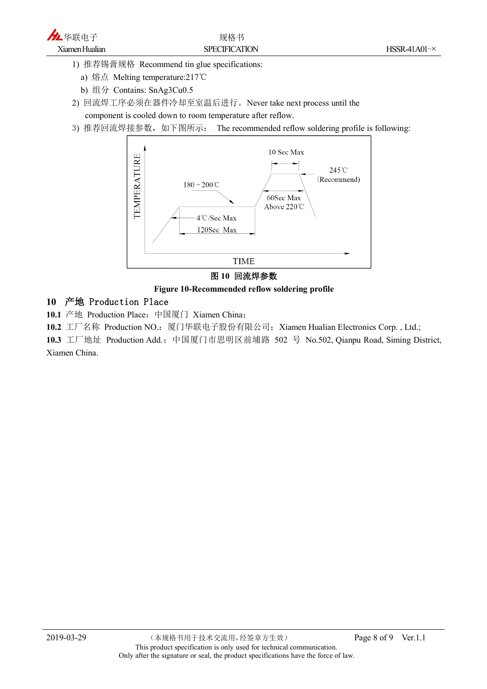

1) 推荐锡膏规格 Recommend tin glue specifications:

a) 熔点 Melting temperature:217℃

b) 组分 Contains: SnAg3Cu0.5

2) 回流焊工序必须在器件冷却至室温后进行。Never take next process until the component is cooled down to room temperature after reflow.

3) 推荐回流焊接参数, 如下图所示: The recommended reflow soldering profile is following:





#### **Figure 10-Recommended reflow soldering profile**

#### **10 产地 Production Place**

10.1 产地 Production Place: 中国厦门 Xiamen China;

10.2 工厂名称 Production NO.: 厦门华联电子股份有限公司; Xiamen Hualian Electronics Corp., Ltd.;

10.3 工厂地址 Production Add.: 中国厦门市思明区前埔路 502 号 No.502, Qianpu Road, Siming District, Xiamen China.